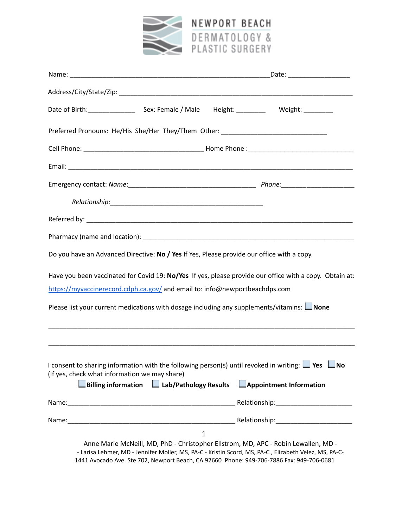

| Date of Birth: ________________________Sex: Female / Male Height: _______________ Weight: __________ |                                                                                        |  |                                                                                                                                                                                             |  |
|------------------------------------------------------------------------------------------------------|----------------------------------------------------------------------------------------|--|---------------------------------------------------------------------------------------------------------------------------------------------------------------------------------------------|--|
| Preferred Pronouns: He/His She/Her They/Them Other: ____________________________                     |                                                                                        |  |                                                                                                                                                                                             |  |
|                                                                                                      |                                                                                        |  |                                                                                                                                                                                             |  |
|                                                                                                      |                                                                                        |  |                                                                                                                                                                                             |  |
|                                                                                                      |                                                                                        |  |                                                                                                                                                                                             |  |
|                                                                                                      |                                                                                        |  |                                                                                                                                                                                             |  |
|                                                                                                      |                                                                                        |  |                                                                                                                                                                                             |  |
|                                                                                                      |                                                                                        |  |                                                                                                                                                                                             |  |
| Do you have an Advanced Directive: No / Yes If Yes, Please provide our office with a copy.           |                                                                                        |  |                                                                                                                                                                                             |  |
|                                                                                                      |                                                                                        |  | Have you been vaccinated for Covid 19: No/Yes If yes, please provide our office with a copy. Obtain at:                                                                                     |  |
| https://myvaccinerecord.cdph.ca.gov/ and email to: info@newportbeachdps.com                          |                                                                                        |  |                                                                                                                                                                                             |  |
| Please list your current medications with dosage including any supplements/vitamins: $\Box$ None     |                                                                                        |  |                                                                                                                                                                                             |  |
|                                                                                                      |                                                                                        |  |                                                                                                                                                                                             |  |
| (If yes, check what information we may share)                                                        |                                                                                        |  | I consent to sharing information with the following person(s) until revoked in writing: $\Box$ Yes $\Box$ No                                                                                |  |
|                                                                                                      | <b>Billing information</b> $\Box$ Lab/Pathology Results $\Box$ Appointment Information |  |                                                                                                                                                                                             |  |
|                                                                                                      |                                                                                        |  |                                                                                                                                                                                             |  |
|                                                                                                      |                                                                                        |  |                                                                                                                                                                                             |  |
|                                                                                                      | $\mathbf{1}$                                                                           |  |                                                                                                                                                                                             |  |
|                                                                                                      |                                                                                        |  | Anne Marie McNeill, MD, PhD - Christopher Ellstrom, MD, APC - Robin Lewallen, MD -<br>- Larisa Lehmer, MD - Jennifer Moller, MS, PA-C - Kristin Scord, MS, PA-C, Elizabeth Velez, MS, PA-C- |  |

1441 Avocado Ave. Ste 702, Newport Beach, CA 92660 Phone: 949-706-7886 Fax: 949-706-0681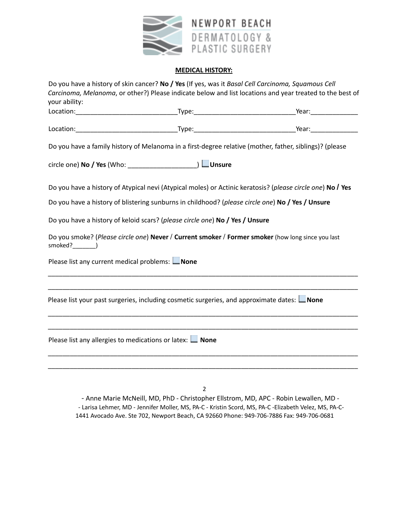

### **MEDICAL HISTORY:**

|                                                | Do you have a history of skin cancer? No / Yes (If yes, was it Basal Cell Carcinoma, Squamous Cell      | Carcinoma, Melanoma, or other?) Please indicate below and list locations and year treated to the best of   |
|------------------------------------------------|---------------------------------------------------------------------------------------------------------|------------------------------------------------------------------------------------------------------------|
| your ability:                                  |                                                                                                         |                                                                                                            |
|                                                |                                                                                                         |                                                                                                            |
|                                                |                                                                                                         |                                                                                                            |
|                                                | Do you have a family history of Melanoma in a first-degree relative (mother, father, siblings)? (please |                                                                                                            |
|                                                |                                                                                                         |                                                                                                            |
|                                                |                                                                                                         | Do you have a history of Atypical nevi (Atypical moles) or Actinic keratosis? (please circle one) No / Yes |
|                                                | Do you have a history of blistering sunburns in childhood? (please circle one) No / Yes / Unsure        |                                                                                                            |
|                                                | Do you have a history of keloid scars? (please circle one) No / Yes / Unsure                            |                                                                                                            |
|                                                | Do you smoke? (Please circle one) Never / Current smoker / Former smoker (how long since you last       |                                                                                                            |
| Please list any current medical problems: None |                                                                                                         |                                                                                                            |
|                                                | Please list your past surgeries, including cosmetic surgeries, and approximate dates: $\Box$ None       |                                                                                                            |
|                                                | Please list any allergies to medications or latex: $\Box$ None                                          |                                                                                                            |
|                                                |                                                                                                         |                                                                                                            |

2

- Anne Marie McNeill, MD, PhD - Christopher Ellstrom, MD, APC - Robin Lewallen, MD - - Larisa Lehmer, MD - Jennifer Moller, MS, PA-C - Kristin Scord, MS, PA-C -Elizabeth Velez, MS, PA-C-1441 Avocado Ave. Ste 702, Newport Beach, CA 92660 Phone: 949-706-7886 Fax: 949-706-0681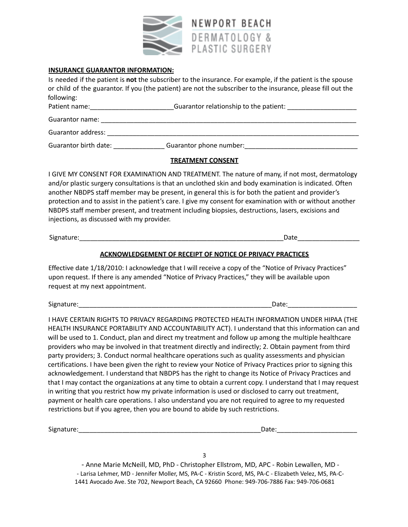

#### **INSURANCE GUARANTOR INFORMATION:**

|                                                                                                                | Is needed if the patient is not the subscriber to the insurance. For example, if the patient is the spouse<br>or child of the guarantor. If you (the patient) are not the subscriber to the insurance, please fill out the                                                                                                                                                                                                |
|----------------------------------------------------------------------------------------------------------------|---------------------------------------------------------------------------------------------------------------------------------------------------------------------------------------------------------------------------------------------------------------------------------------------------------------------------------------------------------------------------------------------------------------------------|
| following:                                                                                                     |                                                                                                                                                                                                                                                                                                                                                                                                                           |
|                                                                                                                | Guarantor relationship to the patient:                                                                                                                                                                                                                                                                                                                                                                                    |
| Guarantor name: example a series and the series of the series of the series of the series of the series of the |                                                                                                                                                                                                                                                                                                                                                                                                                           |
| Guarantor address:                                                                                             |                                                                                                                                                                                                                                                                                                                                                                                                                           |
|                                                                                                                | Guarantor birth date: Guarantor phone number:                                                                                                                                                                                                                                                                                                                                                                             |
|                                                                                                                | <b>TREATMENT CONSENT</b>                                                                                                                                                                                                                                                                                                                                                                                                  |
|                                                                                                                | I GIVE MY CONSENT FOR EXAMINATION AND TREATMENT. The nature of many, if not most, dermatology<br>and/or plastic surgery consultations is that an unclothed skin and body examination is indicated. Often<br>another NBDPS staff member may be present, in general this is for both the patient and provider's<br>protection and to assist in the patient's care. Leive my consent for examination with or without another |

protection and to assist in the patient's care. I give my consent for examination with or without another NBDPS staff member present, and treatment including biopsies, destructions, lasers, excisions and injections, as discussed with my provider.

Signature:\_\_\_\_\_\_\_\_\_\_\_\_\_\_\_\_\_\_\_\_\_\_\_\_\_\_\_\_\_\_\_\_\_\_\_\_\_\_\_\_\_\_\_\_\_\_\_\_\_\_\_\_\_\_\_\_Date\_\_\_\_\_\_\_\_\_\_\_\_\_\_\_\_\_

#### **ACKNOWLEDGEMENT OF RECEIPT OF NOTICE OF PRIVACY PRACTICES**

Effective date 1/18/2010: I acknowledge that I will receive a copy of the "Notice of Privacy Practices" upon request. If there is any amended "Notice of Privacy Practices," they will be available upon request at my next appointment.

Signature:\_\_\_\_\_\_\_\_\_\_\_\_\_\_\_\_\_\_\_\_\_\_\_\_\_\_\_\_\_\_\_\_\_\_\_\_\_\_\_\_\_\_\_\_\_\_\_\_\_\_\_\_\_Date:\_\_\_\_\_\_\_\_\_\_\_\_\_\_\_\_\_\_\_

I HAVE CERTAIN RIGHTS TO PRIVACY REGARDING PROTECTED HEALTH INFORMATION UNDER HIPAA (THE HEALTH INSURANCE PORTABILITY AND ACCOUNTABILITY ACT). I understand that this information can and will be used to 1. Conduct, plan and direct my treatment and follow up among the multiple healthcare providers who may be involved in that treatment directly and indirectly; 2. Obtain payment from third party providers; 3. Conduct normal healthcare operations such as quality assessments and physician certifications. I have been given the right to review your Notice of Privacy Practices prior to signing this acknowledgement. I understand that NBDPS has the right to change its Notice of Privacy Practices and that I may contact the organizations at any time to obtain a current copy. I understand that I may request in writing that you restrict how my private information is used or disclosed to carry out treatment, payment or health care operations. I also understand you are not required to agree to my requested restrictions but if you agree, then you are bound to abide by such restrictions.

Signature:\_\_\_\_\_\_\_\_\_\_\_\_\_\_\_\_\_\_\_\_\_\_\_\_\_\_\_\_\_\_\_\_\_\_\_\_\_\_\_\_\_\_\_\_\_\_\_\_\_\_Date:\_\_\_\_\_\_\_\_\_\_\_\_\_\_\_\_\_\_\_\_\_\_

3

- Anne Marie McNeill, MD, PhD - Christopher Ellstrom, MD, APC - Robin Lewallen, MD - - Larisa Lehmer, MD - Jennifer Moller, MS, PA-C - Kristin Scord, MS, PA-C - Elizabeth Velez, MS, PA-C-1441 Avocado Ave. Ste 702, Newport Beach, CA 92660 Phone: 949-706-7886 Fax: 949-706-0681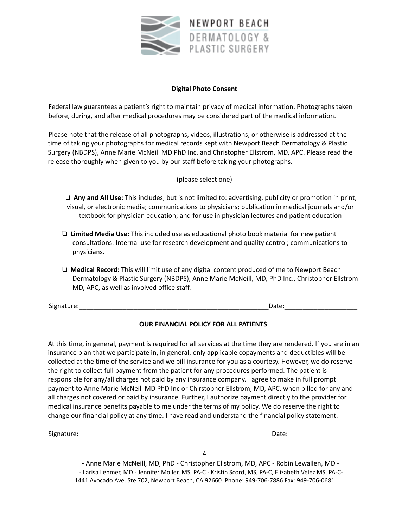

### **Digital Photo Consent**

Federal law guarantees a patient's right to maintain privacy of medical information. Photographs taken before, during, and after medical procedures may be considered part of the medical information.

Please note that the release of all photographs, videos, illustrations, or otherwise is addressed at the time of taking your photographs for medical records kept with Newport Beach Dermatology & Plastic Surgery (NBDPS), Anne Marie McNeill MD PhD Inc. and Christopher Ellstrom, MD, APC. Please read the release thoroughly when given to you by our staff before taking your photographs.

(please select one)

❏ **Any and All Use:** This includes, but is not limited to: advertising, publicity or promotion in print, visual, or electronic media; communications to physicians; publication in medical journals and/or textbook for physician education; and for use in physician lectures and patient education

- ❏ **Limited Media Use:** This included use as educational photo book material for new patient consultations. Internal use for research development and quality control; communications to physicians.
- ❏ **Medical Record:** This will limit use of any digital content produced of me to Newport Beach Dermatology & Plastic Surgery (NBDPS), Anne Marie McNeill, MD, PhD Inc., Christopher Ellstrom MD, APC, as well as involved office staff.

Signature:\_\_\_\_\_\_\_\_\_\_\_\_\_\_\_\_\_\_\_\_\_\_\_\_\_\_\_\_\_\_\_\_\_\_\_\_\_\_\_\_\_\_\_\_\_\_\_\_\_\_\_\_Date:\_\_\_\_\_\_\_\_\_\_\_\_\_\_\_\_\_\_\_\_

## **OUR FINANCIAL POLICY FOR ALL PATIENTS**

At this time, in general, payment is required for all services at the time they are rendered. If you are in an insurance plan that we participate in, in general, only applicable copayments and deductibles will be collected at the time of the service and we bill insurance for you as a courtesy. However, we do reserve the right to collect full payment from the patient for any procedures performed. The patient is responsible for any/all charges not paid by any insurance company. I agree to make in full prompt payment to Anne Marie McNeill MD PhD Inc or Chirstopher Ellstrom, MD, APC, when billed for any and all charges not covered or paid by insurance. Further, I authorize payment directly to the provider for medical insurance benefits payable to me under the terms of my policy. We do reserve the right to change our financial policy at any time. I have read and understand the financial policy statement.

Signature:\_\_\_\_\_\_\_\_\_\_\_\_\_\_\_\_\_\_\_\_\_\_\_\_\_\_\_\_\_\_\_\_\_\_\_\_\_\_\_\_\_\_\_\_\_\_\_\_\_\_\_\_\_Date:\_\_\_\_\_\_\_\_\_\_\_\_\_\_\_\_\_\_\_

4

- Anne Marie McNeill, MD, PhD - Christopher Ellstrom, MD, APC - Robin Lewallen, MD - - Larisa Lehmer, MD - Jennifer Moller, MS, PA-C - Kristin Scord, MS, PA-C, Elizabeth Velez MS, PA-C-1441 Avocado Ave. Ste 702, Newport Beach, CA 92660 Phone: 949-706-7886 Fax: 949-706-0681